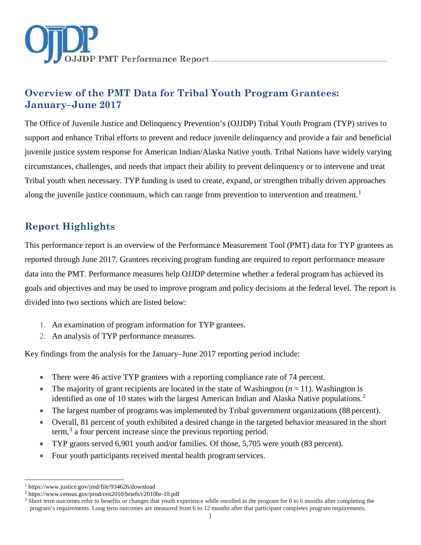

The Office of Juvenile Justice and Delinquency Prevention's (OJJDP) Tribal Youth Program (TYP) strives to support and enhance Tribal efforts to prevent and reduce juvenile delinquency and provide a fair and beneficial juvenile justice system response for American Indian/Alaska Native youth. Tribal Nations have widely varying circumstances, challenges, and needs that impact their ability to prevent delinquency or to intervene and treat Tribal youth when necessary. TYP funding is used to create, expand, or strengthen tribally driven approaches along the juvenile justice continuum, which can range from prevention to intervention and treatment.<sup>[1](#page-0-0)</sup>

# **Report Highlights**

This performance report is an overview of the Performance Measurement Tool (PMT) data for TYP grantees as reported through June 2017. Grantees receiving program funding are required to report performance measure data into the PMT. Performance measures help OJJDP determine whether a federal program has achieved its goals and objectives and may be used to improve program and policy decisions at the federal level. The report is divided into two sections which are listed below:

- 1. An examination of program information for TYP grantees.
- 2. An analysis of TYP performance measures.

Key findings from the analysis for the January–June 2017 reporting period include:

- There were 46 active TYP grantees with a reporting compliance rate of 74 percent.
- The majority of grant recipients are located in the state of Washington  $(n = 11)$ . Washington is identified as one of 10 states with the largest American Indian and Alaska Native populations.<sup>[2](#page-0-1)</sup>
- The largest number of programs was implemented by Tribal government organizations (88 percent).
- Overall, 81 percent of youth exhibited a desired change in the targeted behavior measured in the short term,<sup>[3](#page-0-2)</sup> a four percent increase since the previous reporting period.
- TYP grants served 6,901 youth and/or families. Of those, 5,705 were youth (83 percent).
- Four youth participants received mental health programservices.

 $\overline{a}$ <sup>1</sup> <https://www.justice.gov/jmd/file/934626/download>

<span id="page-0-1"></span><span id="page-0-0"></span><sup>2</sup> <https://www.census.gov/prod/cen2010/briefs/c2010br-10.pdf>

<span id="page-0-2"></span><sup>&</sup>lt;sup>3</sup> Short term outcomes refer to benefits or changes that youth experience while enrolled in the program for 0 to 6 months after completing the program's requirements. Long term outcomes are measured from 6 to 12 months after that participant completes program requirements.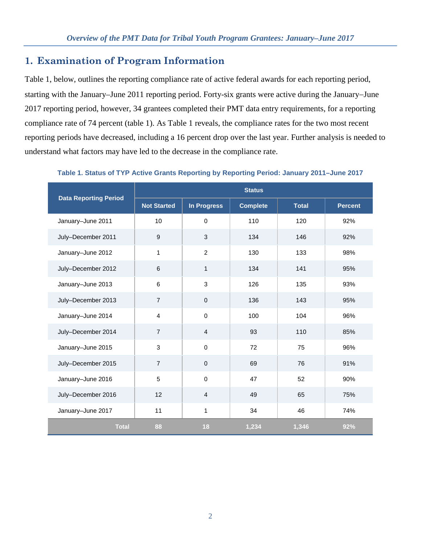# **1. Examination of Program Information**

Table 1, below, outlines the reporting compliance rate of active federal awards for each reporting period, starting with the January–June 2011 reporting period. Forty-six grants were active during the January−June 2017 reporting period, however, 34 grantees completed their PMT data entry requirements, for a reporting compliance rate of 74 percent (table 1). As Table 1 reveals, the compliance rates for the two most recent reporting periods have decreased, including a 16 percent drop over the last year. Further analysis is needed to understand what factors may have led to the decrease in the compliance rate.

|                              | <b>Status</b>      |                    |                 |              |                |  |
|------------------------------|--------------------|--------------------|-----------------|--------------|----------------|--|
| <b>Data Reporting Period</b> | <b>Not Started</b> | <b>In Progress</b> | <b>Complete</b> | <b>Total</b> | <b>Percent</b> |  |
| January-June 2011            | 10                 | $\mathbf 0$        | 110             | 120          | 92%            |  |
| July-December 2011           | $\boldsymbol{9}$   | 3                  | 134             | 146          | 92%            |  |
| January-June 2012            | 1                  | $\overline{2}$     | 130             | 133          | 98%            |  |
| July-December 2012           | $6\phantom{1}6$    | 1                  | 134             | 141          | 95%            |  |
| January-June 2013            | $\,6\,$            | 3                  | 126             | 135          | 93%            |  |
| July-December 2013           | $\overline{7}$     | $\mathbf 0$        | 136             | 143          | 95%            |  |
| January-June 2014            | $\overline{4}$     | $\mathbf 0$        | 100             | 104          | 96%            |  |
| July-December 2014           | $\overline{7}$     | $\overline{4}$     | 93              | 110          | 85%            |  |
| January-June 2015            | 3                  | $\mathbf 0$        | 72              | 75           | 96%            |  |
| July-December 2015           | $\overline{7}$     | $\pmb{0}$          | 69              | 76           | 91%            |  |
| January-June 2016            | 5                  | $\mathbf 0$        | 47              | 52           | 90%            |  |
| July-December 2016           | 12                 | 4                  | 49              | 65           | 75%            |  |
| January-June 2017            | 11                 | 1                  | 34              | 46           | 74%            |  |
| <b>Total</b>                 | 88                 | 18                 | 1,234           | 1,346        | 92%            |  |

**Table 1. Status of TYP Active Grants Reporting by Reporting Period: January 2011–June 2017**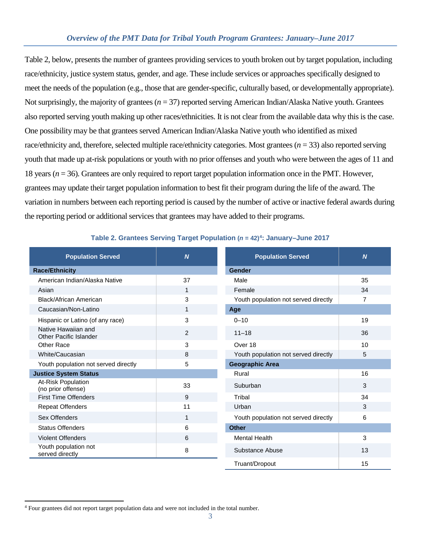Table 2, below, presents the number of grantees providing services to youth broken out by target population, including race/ethnicity, justice system status, gender, and age. These include services or approaches specifically designed to meet the needs of the population (e.g., those that are gender-specific, culturally based, or developmentally appropriate). Not surprisingly, the majority of grantees (*n* = 37) reported serving American Indian/Alaska Native youth. Grantees also reported serving youth making up other races/ethnicities. It is not clear from the available data why this is the case. One possibility may be that grantees served American Indian/Alaska Native youth who identified as mixed race/ethnicity and, therefore, selected multiple race/ethnicity categories. Most grantees (*n* = 33) also reported serving youth that made up at-risk populations or youth with no prior offenses and youth who were between the ages of 11 and 18 years (*n* = 36). Grantees are only required to report target population information once in the PMT. However, grantees may update their target population information to best fit their program during the life of the award. The variation in numbers between each reporting period is caused by the number of active or inactive federal awards during the reporting period or additional services that grantees may have added to their programs.

| <b>Population Served</b>                      | $\boldsymbol{N}$ | <b>Population Served</b>             | $\overline{N}$ |
|-----------------------------------------------|------------------|--------------------------------------|----------------|
| <b>Race/Ethnicity</b>                         |                  | Gender                               |                |
| American Indian/Alaska Native                 | 37               | Male                                 | 35             |
| Asian                                         | 1                | Female                               | 34             |
| <b>Black/African American</b>                 | 3                | Youth population not served directly | $\overline{7}$ |
| Caucasian/Non-Latino                          | 1                | Age                                  |                |
| Hispanic or Latino (of any race)              | 3                | $0 - 10$                             | 19             |
| Native Hawaiian and<br>Other Pacific Islander | $\overline{2}$   | $11 - 18$                            | 36             |
| Other Race                                    | 3                | Over 18                              | 10             |
| White/Caucasian                               | 8                | Youth population not served directly | 5              |
| Youth population not served directly          | 5                | <b>Geographic Area</b>               |                |
| <b>Justice System Status</b>                  |                  | Rural                                | 16             |
| At-Risk Population<br>(no prior offense)      | 33               | Suburban                             | 3              |
| <b>First Time Offenders</b>                   | 9                | Tribal                               | 34             |
| <b>Repeat Offenders</b>                       | 11               | Urban                                | 3              |
| Sex Offenders                                 | 1                | Youth population not served directly | 6              |
| <b>Status Offenders</b>                       | 6                | <b>Other</b>                         |                |
| <b>Violent Offenders</b>                      | 6                | <b>Mental Health</b>                 | 3              |
| Youth population not<br>served directly       | 8                | Substance Abuse                      | 13             |
|                                               |                  | Truant/Dropout                       | 15             |

#### **Table 2. Grantees Serving Target Population (***n* **= 42)[4](#page-2-0): January–June 2017**

<span id="page-2-0"></span> $\overline{a}$ <sup>4</sup> Four grantees did not report target population data and were not included in the total number.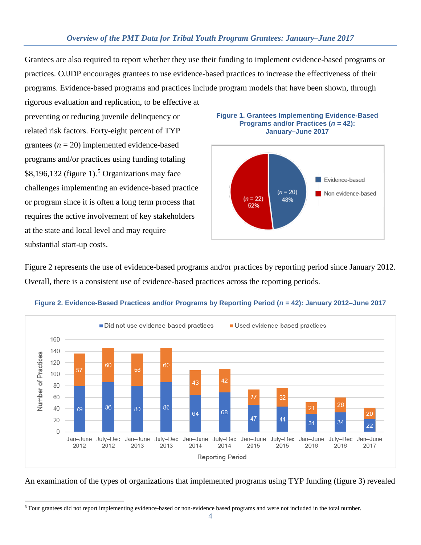Grantees are also required to report whether they use their funding to implement evidence-based programs or practices. OJJDP encourages grantees to use evidence-based practices to increase the effectiveness of their programs. Evidence-based programs and practices include program models that have been shown, through rigorous evaluation and replication, to be effective at

preventing or reducing juvenile delinquency or related risk factors. Forty-eight percent of TYP grantees  $(n = 20)$  implemented evidence-based programs and/or practices using funding totaling \$8,196,132 (figure 1).<sup>[5](#page-3-0)</sup> Organizations may face challenges implementing an evidence-based practice or program since it is often a long term process that requires the active involvement of key stakeholders at the state and local level and may require substantial start-up costs.





Figure 2 represents the use of evidence-based programs and/or practices by reporting period since January 2012. Overall, there is a consistent use of evidence-based practices across the reporting periods.



#### **Figure 2. Evidence-Based Practices and/or Programs by Reporting Period (***n* **= 42): January 2012–June 2017**

An examination of the types of organizations that implemented programs using TYP funding (figure 3) revealed

<span id="page-3-0"></span> $\overline{a}$ <sup>5</sup> Four grantees did not report implementing evidence-based or non-evidence based programs and were not included in the total number.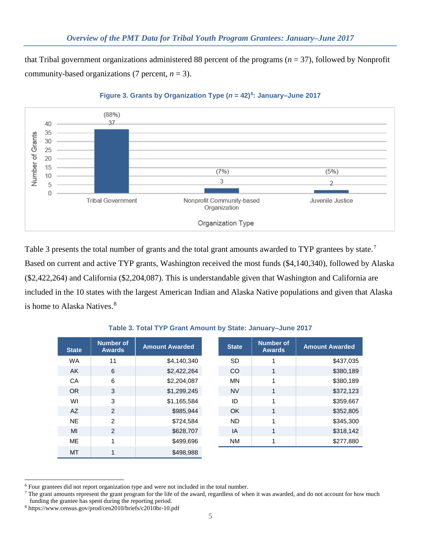that Tribal government organizations administered 88 percent of the programs (*n* = 37), followed by Nonprofit community-based organizations (7 percent,  $n = 3$ ).



#### **Figure 3. Grants by Organization Type (***n* **= 42)[6](#page-4-0): January–June 2017**

Table 3 presents the total number of grants and the total grant amounts awarded to TYP grantees by state.<sup>[7](#page-4-1)</sup> Based on current and active TYP grants, Washington received the most funds (\$4,140,340), followed by Alaska (\$2,422,264) and California (\$2,204,087). This is understandable given that Washington and California are included in the 10 states with the largest American Indian and Alaska Native populations and given that Alaska is home to Alaska Natives.<sup>[8](#page-4-2)</sup>

| <b>State</b> | <b>Number of</b><br><b>Awards</b> | <b>Amount Awarded</b> | <b>State</b> | <b>Number of</b><br><b>Awards</b> | <b>Amount Awarded</b> |
|--------------|-----------------------------------|-----------------------|--------------|-----------------------------------|-----------------------|
| <b>WA</b>    | 11                                | \$4,140,340           | <b>SD</b>    |                                   | \$437,035             |
| AK.          | 6                                 | \$2,422,264           | CO           | 1                                 | \$380,189             |
| CA           | 6                                 | \$2,204,087           | <b>MN</b>    |                                   | \$380,189             |
| <b>OR</b>    | 3                                 | \$1,299,245           | <b>NV</b>    | 1                                 | \$372,123             |
| WI           | 3                                 | \$1,165,584           | ID           |                                   | \$359,667             |
| AZ           | $\mathcal{P}$                     | \$985,944             | <b>OK</b>    | 1                                 | \$352,805             |
| <b>NE</b>    | $\mathcal{P}$                     | \$724,584             | <b>ND</b>    |                                   | \$345,300             |
| MI           | $\mathfrak{D}$                    | \$628,707             | IA           | 1                                 | \$318,142             |
| <b>ME</b>    |                                   | \$499,696             | <b>NM</b>    |                                   | \$277,880             |
| MT           |                                   | \$498.988             |              |                                   |                       |

#### **Table 3. Total TYP Grant Amount by State: January–June 2017**

<span id="page-4-0"></span> $\overline{a}$ <sup>6</sup> Four grantees did not report organization type and were not included in the total number.

<span id="page-4-1"></span> $<sup>7</sup>$  The grant amounts represent the grant program for the life of the award, regardless of when it was awarded, and do not account for how much</sup> funding the grantee has spent during the reporting period.

<span id="page-4-2"></span><sup>8</sup> <https://www.census.gov/prod/cen2010/briefs/c2010br-10.pdf>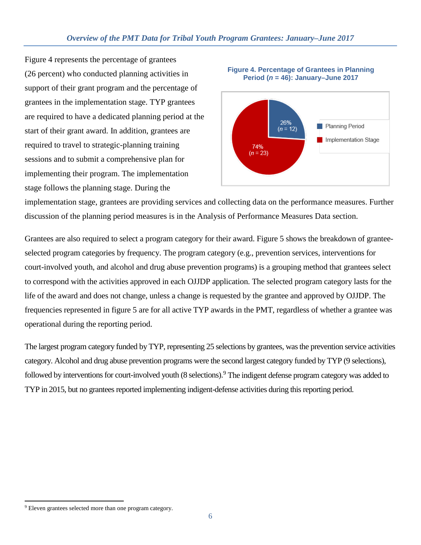Figure 4 represents the percentage of grantees (26 percent) who conducted planning activities in support of their grant program and the percentage of grantees in the implementation stage. TYP grantees are required to have a dedicated planning period at the start of their grant award. In addition, grantees are required to travel to strategic-planning training sessions and to submit a comprehensive plan for implementing their program. The implementation stage follows the planning stage. During the



**Figure 4. Percentage of Grantees in Planning Period (***n* **= 46): January–June 2017**

implementation stage, grantees are providing services and collecting data on the performance measures. Further discussion of the planning period measures is in the Analysis of Performance Measures Data section.

Grantees are also required to select a program category for their award. Figure 5 shows the breakdown of granteeselected program categories by frequency. The program category (e.g., prevention services, interventions for court-involved youth, and alcohol and drug abuse prevention programs) is a grouping method that grantees select to correspond with the activities approved in each OJJDP application. The selected program category lasts for the life of the award and does not change, unless a change is requested by the grantee and approved by OJJDP. The frequencies represented in figure 5 are for all active TYP awards in the PMT, regardless of whether a grantee was operational during the reporting period.

The largest program category funded by TYP, representing 25 selections by grantees, was the prevention service activities category. Alcohol and drug abuse prevention programs were the second largest category funded by TYP (9 selections), followed by interventions for court-involved youth (8 selections).<sup>[9](#page-5-0)</sup> The indigent defense program category was added to TYP in 2015, but no grantees reported implementing indigent-defense activities during this reporting period.

<span id="page-5-0"></span> $\overline{a}$ <sup>9</sup> Eleven grantees selected more than one program category.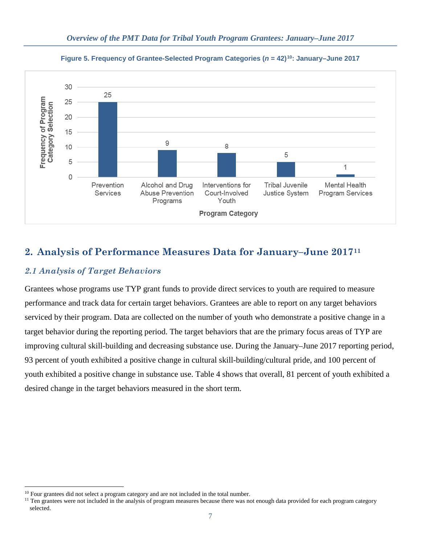

**Figure 5. Frequency of Grantee-Selected Program Categories (***n* **= 42)[10:](#page-6-0) January–June 2017**

# **2. Analysis of Performance Measures Data for January–June 2017[11](#page-6-1)**

### *2.1 Analysis of Target Behaviors*

 $\overline{a}$ 

Grantees whose programs use TYP grant funds to provide direct services to youth are required to measure performance and track data for certain target behaviors. Grantees are able to report on any target behaviors serviced by their program. Data are collected on the number of youth who demonstrate a positive change in a target behavior during the reporting period. The target behaviors that are the primary focus areas of TYP are improving cultural skill-building and decreasing substance use. During the January–June 2017 reporting period, 93 percent of youth exhibited a positive change in cultural skill-building/cultural pride, and 100 percent of youth exhibited a positive change in substance use. Table 4 shows that overall, 81 percent of youth exhibited a desired change in the target behaviors measured in the short term.

<span id="page-6-1"></span><span id="page-6-0"></span> $10$  Four grantees did not select a program category and are not included in the total number.<br><sup>11</sup> Ten grantees were not included in the analysis of program measures because there was not enough data provided for each pr selected.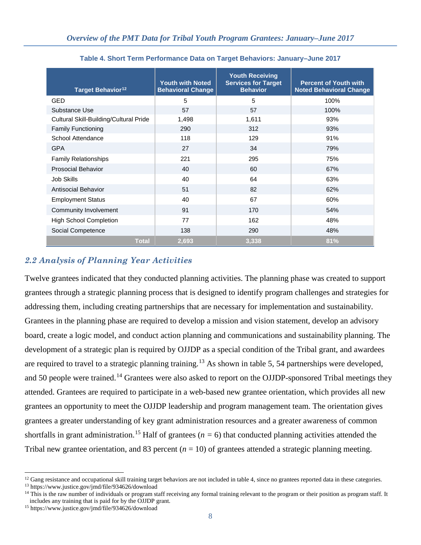| Target Behavior <sup>12</sup>          | <b>Youth with Noted</b><br><b>Behavioral Change</b> | <b>Youth Receiving</b><br><b>Services for Target</b><br><b>Behavior</b> | <b>Percent of Youth with</b><br><b>Noted Behavioral Change</b> |
|----------------------------------------|-----------------------------------------------------|-------------------------------------------------------------------------|----------------------------------------------------------------|
| <b>GED</b>                             | 5                                                   | 5                                                                       | 100%                                                           |
| Substance Use                          | 57                                                  | 57                                                                      | 100%                                                           |
| Cultural Skill-Building/Cultural Pride | 1,498                                               | 1,611                                                                   | 93%                                                            |
| <b>Family Functioning</b>              | 290                                                 | 312                                                                     | 93%                                                            |
| School Attendance                      | 118                                                 | 129                                                                     | 91%                                                            |
| <b>GPA</b>                             | 27                                                  | 34                                                                      | 79%                                                            |
| <b>Family Relationships</b>            | 221                                                 | 295                                                                     | 75%                                                            |
| <b>Prosocial Behavior</b>              | 40                                                  | 60                                                                      | 67%                                                            |
| Job Skills                             | 40                                                  | 64                                                                      | 63%                                                            |
| Antisocial Behavior                    | 51                                                  | 82                                                                      | 62%                                                            |
| <b>Employment Status</b>               | 40                                                  | 67                                                                      | 60%                                                            |
| Community Involvement                  | 91                                                  | 170                                                                     | 54%                                                            |
| <b>High School Completion</b>          | 77                                                  | 162                                                                     | 48%                                                            |
| Social Competence                      | 138                                                 | 290                                                                     | 48%                                                            |
| <b>Total</b>                           | 2,693                                               | 3,338                                                                   | 81%                                                            |

**Table 4. Short Term Performance Data on Target Behaviors: January–June 2017**

# *2.2 Analysis of Planning Year Activities*

Twelve grantees indicated that they conducted planning activities. The planning phase was created to support grantees through a strategic planning process that is designed to identify program challenges and strategies for addressing them, including creating partnerships that are necessary for implementation and sustainability. Grantees in the planning phase are required to develop a mission and vision statement, develop an advisory board, create a logic model, and conduct action planning and communications and sustainability planning. The development of a strategic plan is required by OJJDP as a special condition of the Tribal grant, and awardees are required to travel to a strategic planning training.<sup>13</sup> As shown in table 5, 54 partnerships were developed, and 50 people were trained.<sup>[14](#page-7-2)</sup> Grantees were also asked to report on the OJJDP-sponsored Tribal meetings they attended. Grantees are required to participate in a web-based new grantee orientation, which provides all new grantees an opportunity to meet the OJJDP leadership and program management team. The orientation gives grantees a greater understanding of key grant administration resources and a greater awareness of common shortfalls in grant administration.<sup>[15](#page-7-3)</sup> Half of grantees ( $n = 6$ ) that conducted planning activities attended the Tribal new grantee orientation, and 83 percent  $(n = 10)$  of grantees attended a strategic planning meeting.

<span id="page-7-0"></span> $\overline{a}$ <sup>12</sup> Gang resistance and occupational skill training target behaviors are not included in table 4, since no grantees reported data in these categories. <sup>13</sup> <https://www.justice.gov/jmd/file/934626/download>

<span id="page-7-2"></span><span id="page-7-1"></span> $14$  This is the raw number of individuals or program staff receiving any formal training relevant to the program or their position as program staff. It includes any training that is paid for by the OJJDP grant.

<span id="page-7-3"></span><sup>15</sup> <https://www.justice.gov/jmd/file/934626/download>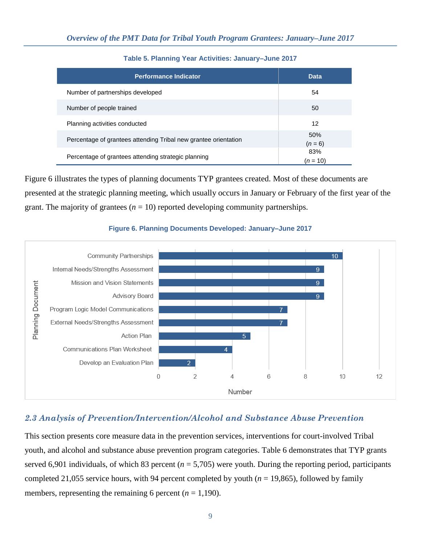| <b>Performance Indicator</b>                                    | <b>Data</b>       |
|-----------------------------------------------------------------|-------------------|
| Number of partnerships developed                                | 54                |
| Number of people trained                                        | 50                |
| Planning activities conducted                                   | 12                |
| Percentage of grantees attending Tribal new grantee orientation | 50%<br>$(n = 6)$  |
| Percentage of grantees attending strategic planning             | 83%<br>$(n = 10)$ |

**Table 5. Planning Year Activities: January–June 2017**

Figure 6 illustrates the types of planning documents TYP grantees created. Most of these documents are presented at the strategic planning meeting, which usually occurs in January or February of the first year of the grant. The majority of grantees  $(n = 10)$  reported developing community partnerships.



#### **Figure 6. Planning Documents Developed: January–June 2017**

#### *2.3 Analysis of Prevention/Intervention/Alcohol and Substance Abuse Prevention*

This section presents core measure data in the prevention services, interventions for court-involved Tribal youth, and alcohol and substance abuse prevention program categories. Table 6 demonstrates that TYP grants served 6,901 individuals, of which 83 percent ( $n = 5,705$ ) were youth. During the reporting period, participants completed 21,055 service hours, with 94 percent completed by youth  $(n = 19,865)$ , followed by family members, representing the remaining 6 percent  $(n = 1,190)$ .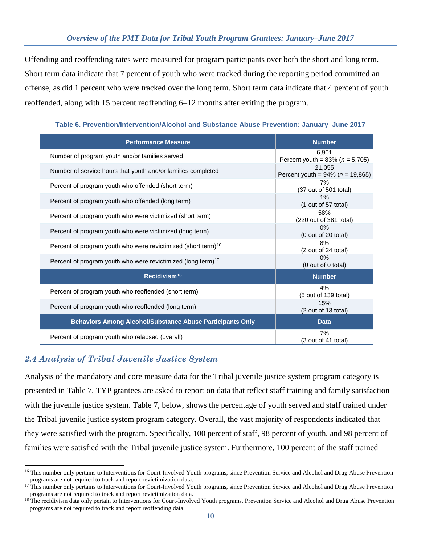Offending and reoffending rates were measured for program participants over both the short and long term. Short term data indicate that 7 percent of youth who were tracked during the reporting period committed an offense, as did 1 percent who were tracked over the long term. Short term data indicate that 4 percent of youth reoffended, along with 15 percent reoffending 6−12 months after exiting the program.

**Table 6. Prevention/Intervention/Alcohol and Substance Abuse Prevention: January–June 2017**

| <b>Performance Measure</b>                                                | <b>Number</b>                                     |
|---------------------------------------------------------------------------|---------------------------------------------------|
| Number of program youth and/or families served                            | 6,901<br>Percent youth = $83\% (n = 5,705)$       |
| Number of service hours that youth and/or families completed              | 21,055<br>Percent youth = $94\%$ ( $n = 19,865$ ) |
| Percent of program youth who offended (short term)                        | 7%<br>(37 out of 501 total)                       |
| Percent of program youth who offended (long term)                         | 1%<br>$(1$ out of 57 total)                       |
| Percent of program youth who were victimized (short term)                 | 58%<br>(220 out of 381 total)                     |
| Percent of program youth who were victimized (long term)                  | 0%<br>(0 out of 20 total)                         |
| Percent of program youth who were revictimized (short term) <sup>16</sup> | 8%<br>(2 out of 24 total)                         |
| Percent of program youth who were revictimized (long term) <sup>17</sup>  | $0\%$<br>(0 out of 0 total)                       |
| Recidivism <sup>18</sup>                                                  | <b>Number</b>                                     |
| Percent of program youth who reoffended (short term)                      | 4%<br>(5 out of 139 total)                        |
| Percent of program youth who reoffended (long term)                       | 15%<br>(2 out of 13 total)                        |
| <b>Behaviors Among Alcohol/Substance Abuse Participants Only</b>          | <b>Data</b>                                       |
| Percent of program youth who relapsed (overall)                           | 7%<br>(3 out of 41 total)                         |

### *2.4 Analysis of Tribal Juvenile Justice System*

Analysis of the mandatory and core measure data for the Tribal juvenile justice system program category is presented in Table 7. TYP grantees are asked to report on data that reflect staff training and family satisfaction with the juvenile justice system. Table 7, below, shows the percentage of youth served and staff trained under the Tribal juvenile justice system program category. Overall, the vast majority of respondents indicated that they were satisfied with the program. Specifically, 100 percent of staff, 98 percent of youth, and 98 percent of families were satisfied with the Tribal juvenile justice system. Furthermore, 100 percent of the staff trained

<span id="page-9-0"></span> $\overline{a}$ <sup>16</sup> This number only pertains to Interventions for Court-Involved Youth programs, since Prevention Service and Alcohol and Drug Abuse Prevention programs are not required to track and report revictimization data.

<span id="page-9-1"></span><sup>&</sup>lt;sup>17</sup> This number only pertains to Interventions for Court-Involved Youth programs, since Prevention Service and Alcohol and Drug Abuse Prevention programs are not required to track and report revictimization data.

<span id="page-9-2"></span><sup>&</sup>lt;sup>18</sup> The recidivism data only pertain to Interventions for Court-Involved Youth programs. Prevention Service and Alcohol and Drug Abuse Prevention programs are not required to track and report reoffending data.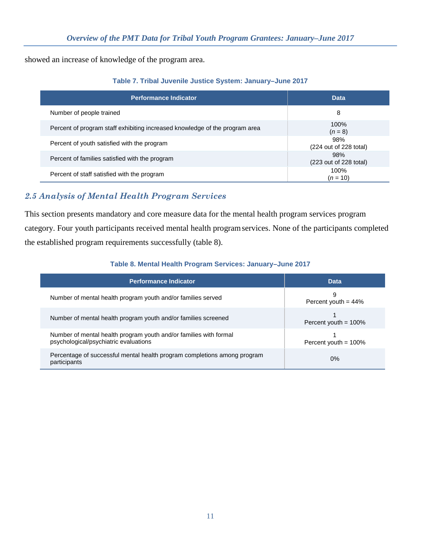showed an increase of knowledge of the program area.

|  |  |  | Table 7. Tribal Juvenile Justice System: January-June 2017 |  |
|--|--|--|------------------------------------------------------------|--|
|  |  |  |                                                            |  |

| <b>Performance Indicator</b>                                                | <b>Data</b>                   |
|-----------------------------------------------------------------------------|-------------------------------|
| Number of people trained                                                    | 8                             |
| Percent of program staff exhibiting increased knowledge of the program area | 100%<br>$(n = 8)$             |
| Percent of youth satisfied with the program                                 | 98%<br>(224 out of 228 total) |
| Percent of families satisfied with the program                              | 98%<br>(223 out of 228 total) |
| Percent of staff satisfied with the program                                 | 100%<br>$(n = 10)$            |

# *2.5 Analysis of Mental Health Program Services*

This section presents mandatory and core measure data for the mental health program services program category. Four youth participants received mental health programservices. None of the participants completed the established program requirements successfully (table 8).

#### **Table 8. Mental Health Program Services: January–June 2017**

| Performance Indicator                                                                                      | <b>Data</b>                 |
|------------------------------------------------------------------------------------------------------------|-----------------------------|
| Number of mental health program youth and/or families served                                               | 9<br>Percent youth = $44\%$ |
| Number of mental health program youth and/or families screened                                             | Percent youth = $100\%$     |
| Number of mental health program youth and/or families with formal<br>psychological/psychiatric evaluations | Percent youth = $100\%$     |
| Percentage of successful mental health program completions among program<br>participants                   | $0\%$                       |